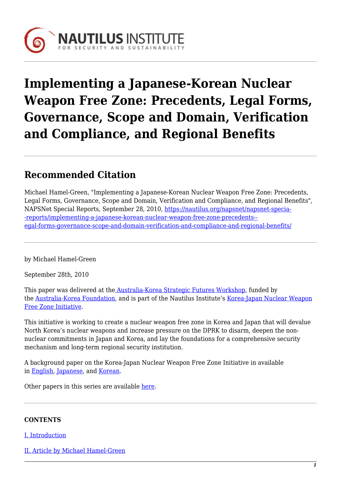

# **Implementing a Japanese-Korean Nuclear Weapon Free Zone: Precedents, Legal Forms, Governance, Scope and Domain, Verification and Compliance, and Regional Benefits**

# **Recommended Citation**

Michael Hamel-Green, "Implementing a Japanese-Korean Nuclear Weapon Free Zone: Precedents, Legal Forms, Governance, Scope and Domain, Verification and Compliance, and Regional Benefits", NAPSNet Special Reports, September 28, 2010, [https://nautilus.org/napsnet/napsnet-specia-](https://nautilus.org/napsnet/napsnet-special-reports/implementing-a-japanese-korean-nuclear-weapon-free-zone-precedents-legal-forms-governance-scope-and-domain-verification-and-compliance-and-regional-benefits/) [-reports/implementing-a-japanese-korean-nuclear-weapon-free-zone-precedents-](https://nautilus.org/napsnet/napsnet-special-reports/implementing-a-japanese-korean-nuclear-weapon-free-zone-precedents-legal-forms-governance-scope-and-domain-verification-and-compliance-and-regional-benefits/) [egal-forms-governance-scope-and-domain-verification-and-compliance-and-regional-benefits/](https://nautilus.org/napsnet/napsnet-special-reports/implementing-a-japanese-korean-nuclear-weapon-free-zone-precedents-legal-forms-governance-scope-and-domain-verification-and-compliance-and-regional-benefits/)

by Michael Hamel-Green

September 28th, 2010

This paper was delivered at th[e Australia-Korea Strategic Futures Workshop](https://nautilus.org/projects/akf-connections), funded by the [Australia-Korea Foundation,](http://www.dfat.gov.au/akf) and is part of the Nautilus Institute's [Korea-Japan Nuclear Weapon](https://nautilus.org/initiatives/korea-japan-nwfz) [Free Zone Initiative](https://nautilus.org/initiatives/korea-japan-nwfz).

This initiative is working to create a nuclear weapon free zone in Korea and Japan that will devalue North Korea's nuclear weapons and increase pressure on the DPRK to disarm, deepen the nonnuclear commitments in Japan and Korea, and lay the foundations for a comprehensive security mechanism and long-term regional security institution.

A background paper on the Korea-Japan Nuclear Weapon Free Zone Initiative in available in [English,](https://nautilus.org/wp-content/uploads/2011/12/concept-english1.pdf) [Japanese](https://nautilus.org/wp-content/uploads/2011/12/concept-japanese1.pdf), and [Korean.](https://nautilus.org/wp-content/uploads/2011/12/concept-korean1.pdf)

Other papers in this series are available [here.](https://nautilus.org/initiatives/korea-japan-nwfz/plan)

#### **CONTENTS**

[I. Introduction](#page-1-0)

[II. Article by Michael Hamel-Green](#page-1-1)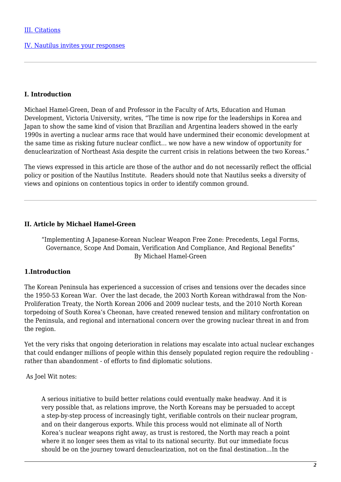#### <span id="page-1-0"></span>**I. Introduction**

Michael Hamel-Green, Dean of and Professor in the Faculty of Arts, Education and Human Development, Victoria University, writes, "The time is now ripe for the leaderships in Korea and Japan to show the same kind of vision that Brazilian and Argentina leaders showed in the early 1990s in averting a nuclear arms race that would have undermined their economic development at the same time as risking future nuclear conflict… we now have a new window of opportunity for denuclearization of Northeast Asia despite the current crisis in relations between the two Koreas."

The views expressed in this article are those of the author and do not necessarily reflect the official policy or position of the Nautilus Institute. Readers should note that Nautilus seeks a diversity of views and opinions on contentious topics in order to identify common ground.

#### <span id="page-1-1"></span>**II. Article by Michael Hamel-Green**

"Implementing A Japanese-Korean Nuclear Weapon Free Zone: Precedents, Legal Forms, Governance, Scope And Domain, Verification And Compliance, And Regional Benefits" By Michael Hamel-Green

#### **1.Introduction**

The Korean Peninsula has experienced a succession of crises and tensions over the decades since the 1950-53 Korean War. Over the last decade, the 2003 North Korean withdrawal from the Non-Proliferation Treaty, the North Korean 2006 and 2009 nuclear tests, and the 2010 North Korean torpedoing of South Korea's Cheonan, have created renewed tension and military confrontation on the Peninsula, and regional and international concern over the growing nuclear threat in and from the region.

Yet the very risks that ongoing deterioration in relations may escalate into actual nuclear exchanges that could endanger millions of people within this densely populated region require the redoubling rather than abandonment - of efforts to find diplomatic solutions.

As Joel Wit notes:

A serious initiative to build better relations could eventually make headway. And it is very possible that, as relations improve, the North Koreans may be persuaded to accept a step-by-step process of increasingly tight, verifiable controls on their nuclear program, and on their dangerous exports. While this process would not eliminate all of North Korea's nuclear weapons right away, as trust is restored, the North may reach a point where it no longer sees them as vital to its national security. But our immediate focus should be on the journey toward denuclearization, not on the final destination…In the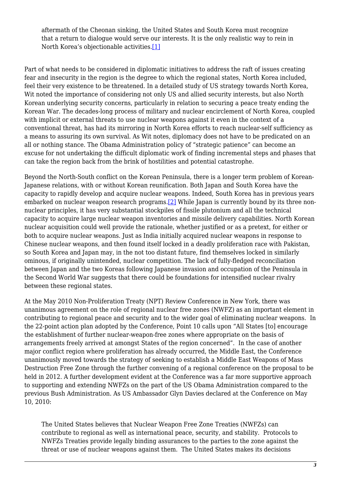aftermath of the Cheonan sinking, the United States and South Korea must recognize that a return to dialogue would serve our interests. It is the only realistic way to rein in North Korea's objectionable activities.[\[1\]](#page-16-1)

Part of what needs to be considered in diplomatic initiatives to address the raft of issues creating fear and insecurity in the region is the degree to which the regional states, North Korea included, feel their very existence to be threatened. In a detailed study of US strategy towards North Korea, Wit noted the importance of considering not only US and allied security interests, but also North Korean underlying security concerns, particularly in relation to securing a peace treaty ending the Korean War. The decades-long process of military and nuclear encirclement of North Korea, coupled with implicit or external threats to use nuclear weapons against it even in the context of a conventional threat, has had its mirroring in North Korea efforts to reach nuclear-self sufficiency as a means to assuring its own survival. As Wit notes, diplomacy does not have to be predicated on an all or nothing stance. The Obama Administration policy of "strategic patience" can become an excuse for not undertaking the difficult diplomatic work of finding incremental steps and phases that can take the region back from the brink of hostilities and potential catastrophe.

Beyond the North-South conflict on the Korean Peninsula, there is a longer term problem of Korean-Japanese relations, with or without Korean reunification. Both Japan and South Korea have the capacity to rapidly develop and acquire nuclear weapons. Indeed, South Korea has in previous years embarked on nuclear weapon research programs.<sup>[2]</sup> While Japan is currently bound by its three nonnuclear principles, it has very substantial stockpiles of fissile plutonium and all the technical capacity to acquire large nuclear weapon inventories and missile delivery capabilities. North Korean nuclear acquisition could well provide the rationale, whether justified or as a pretext, for either or both to acquire nuclear weapons. Just as India initially acquired nuclear weapons in response to Chinese nuclear weapons, and then found itself locked in a deadly proliferation race with Pakistan, so South Korea and Japan may, in the not too distant future, find themselves locked in similarly ominous, if originally unintended, nuclear competition. The lack of fully-fledged reconciliation between Japan and the two Koreas following Japanese invasion and occupation of the Peninsula in the Second World War suggests that there could be foundations for intensified nuclear rivalry between these regional states.

At the May 2010 Non-Proliferation Treaty (NPT) Review Conference in New York, there was unanimous agreement on the role of regional nuclear free zones (NWFZ) as an important element in contributing to regional peace and security and to the wider goal of eliminating nuclear weapons. In the 22-point action plan adopted by the Conference, Point 10 calls upon "All States [to] encourage the establishment of further nuclear-weapon-free zones where appropriate on the basis of arrangements freely arrived at amongst States of the region concerned". In the case of another major conflict region where proliferation has already occurred, the Middle East, the Conference unanimously moved towards the strategy of seeking to establish a Middle East Weapons of Mass Destruction Free Zone through the further convening of a regional conference on the proposal to be held in 2012. A further development evident at the Conference was a far more supportive approach to supporting and extending NWFZs on the part of the US Obama Administration compared to the previous Bush Administration. As US Ambassador Glyn Davies declared at the Conference on May 10, 2010:

The United States believes that Nuclear Weapon Free Zone Treaties (NWFZs) can contribute to regional as well as international peace, security, and stability. Protocols to NWFZs Treaties provide legally binding assurances to the parties to the zone against the threat or use of nuclear weapons against them. The United States makes its decisions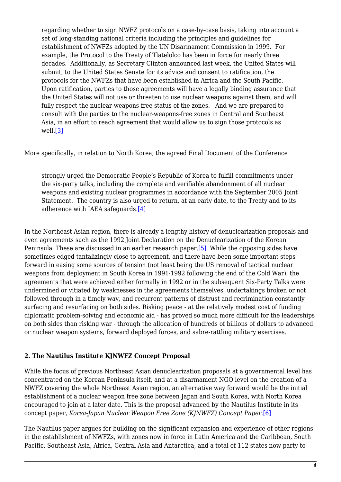regarding whether to sign NWFZ protocols on a case-by-case basis, taking into account a set of long-standing national criteria including the principles and guidelines for establishment of NWFZs adopted by the UN Disarmament Commission in 1999. For example, the Protocol to the Treaty of Tlatelolco has been in force for nearly three decades. Additionally, as Secretary Clinton announced last week, the United States will submit, to the United States Senate for its advice and consent to ratification, the protocols for the NWFZs that have been established in Africa and the South Pacific. Upon ratification, parties to those agreements will have a legally binding assurance that the United States will not use or threaten to use nuclear weapons against them, and will fully respect the nuclear-weapons-free status of the zones. And we are prepared to consult with the parties to the nuclear-weapons-free zones in Central and Southeast Asia, in an effort to reach agreement that would allow us to sign those protocols as well[.\[3\]](#page-16-3)

More specifically, in relation to North Korea, the agreed Final Document of the Conference

strongly urged the Democratic People's Republic of Korea to fulfill commitments under the six-party talks, including the complete and verifiable abandonment of all nuclear weapons and existing nuclear programmes in accordance with the September 2005 Joint Statement. The country is also urged to return, at an early date, to the Treaty and to its adherence with IAEA safeguards.[\[4\]](#page-16-4)

In the Northeast Asian region, there is already a lengthy history of denuclearization proposals and even agreements such as the 1992 Joint Declaration on the Denuclearization of the Korean Peninsula. These are discussed in an earlier research paper[.\[5\]](#page-16-5) While the opposing sides have sometimes edged tantalizingly close to agreement, and there have been some important steps forward in easing some sources of tension (not least being the US removal of tactical nuclear weapons from deployment in South Korea in 1991-1992 following the end of the Cold War), the agreements that were achieved either formally in 1992 or in the subsequent Six-Party Talks were undermined or vitiated by weaknesses in the agreements themselves, undertakings broken or not followed through in a timely way, and recurrent patterns of distrust and recrimination constantly surfacing and resurfacing on both sides. Risking peace - at the relatively modest cost of funding diplomatic problem-solving and economic aid - has proved so much more difficult for the leaderships on both sides than risking war - through the allocation of hundreds of billions of dollars to advanced or nuclear weapon systems, forward deployed forces, and sabre-rattling military exercises.

#### **2. The Nautilus Institute KJNWFZ Concept Proposal**

While the focus of previous Northeast Asian denuclearization proposals at a governmental level has concentrated on the Korean Peninsula itself, and at a disarmament NGO level on the creation of a NWFZ covering the whole Northeast Asian region, an alternative way forward would be the initial establishment of a nuclear weapon free zone between Japan and South Korea, with North Korea encouraged to join at a later date. This is the proposal advanced by the Nautilus Institute in its concept paper, *Korea-Japan Nuclear Weapon Free Zone (KJNWFZ) Concept Paper*[.\[6\]](#page-16-6)

The Nautilus paper argues for building on the significant expansion and experience of other regions in the establishment of NWFZs, with zones now in force in Latin America and the Caribbean, South Pacific, Southeast Asia, Africa, Central Asia and Antarctica, and a total of 112 states now party to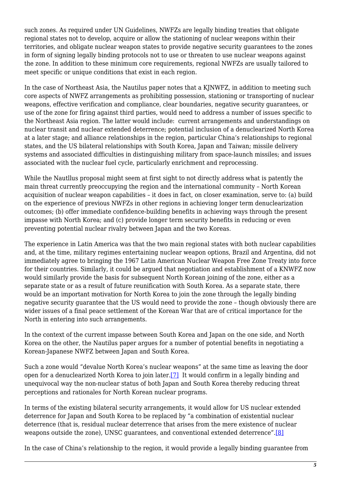such zones. As required under UN Guidelines, NWFZs are legally binding treaties that obligate regional states not to develop, acquire or allow the stationing of nuclear weapons within their territories, and obligate nuclear weapon states to provide negative security guarantees to the zones in form of signing legally binding protocols not to use or threaten to use nuclear weapons against the zone. In addition to these minimum core requirements, regional NWFZs are usually tailored to meet specific or unique conditions that exist in each region.

In the case of Northeast Asia, the Nautilus paper notes that a KJNWFZ, in addition to meeting such core aspects of NWFZ arrangements as prohibiting possession, stationing or transporting of nuclear weapons, effective verification and compliance, clear boundaries, negative security guarantees, or use of the zone for firing against third parties, would need to address a number of issues specific to the Northeast Asia region. The latter would include: current arrangements and understandings on nuclear transit and nuclear extended deterrence; potential inclusion of a denuclearized North Korea at a later stage; and alliance relationships in the region, particular China's relationships to regional states, and the US bilateral relationships with South Korea, Japan and Taiwan; missile delivery systems and associated difficulties in distinguishing military from space-launch missiles; and issues associated with the nuclear fuel cycle, particularly enrichment and reprocessing.

While the Nautllus proposal might seem at first sight to not directly address what is patently the main threat currently preoccupying the region and the international community – North Korean acquisition of nuclear weapon capabilities – it does in fact, on closer examination, serve to: (a) build on the experience of previous NWFZs in other regions in achieving longer term denuclearization outcomes; (b) offer immediate confidence-building benefits in achieving ways through the present impasse with North Korea; and (c) provide longer term security benefits in reducing or even preventing potential nuclear rivalry between Japan and the two Koreas.

The experience in Latin America was that the two main regional states with both nuclear capabilities and, at the time, military regimes entertaining nuclear weapon options, Brazil and Argentina, did not immediately agree to bringing the 1967 Latin American Nuclear Weapon Free Zone Treaty into force for their countries. Similarly, it could be argued that negotiation and establishment of a KNWFZ now would similarly provide the basis for subsequent North Korean joining of the zone, either as a separate state or as a result of future reunification with South Korea. As a separate state, there would be an important motivation for North Korea to join the zone through the legally binding negative security guarantee that the US would need to provide the zone – though obviously there are wider issues of a final peace settlement of the Korean War that are of critical importance for the North in entering into such arrangements.

In the context of the current impasse between South Korea and Japan on the one side, and North Korea on the other, the Nautilus paper argues for a number of potential benefits in negotiating a Korean-Japanese NWFZ between Japan and South Korea.

Such a zone would "devalue North Korea's nuclear weapons" at the same time as leaving the door open for a denuclearized North Korea to join later.[\[7\]](#page-16-7) It would confirm in a legally binding and unequivocal way the non-nuclear status of both Japan and South Korea thereby reducing threat perceptions and rationales for North Korean nuclear programs.

In terms of the existing bilateral security arrangements, it would allow for US nuclear extended deterrence for Japan and South Korea to be replaced by "a combination of existential nuclear deterrence (that is, residual nuclear deterrence that arises from the mere existence of nuclear weapons outside the zone), UNSC guarantees, and conventional extended deterrence"[.\[8\]](#page-16-8)

In the case of China's relationship to the region, it would provide a legally binding guarantee from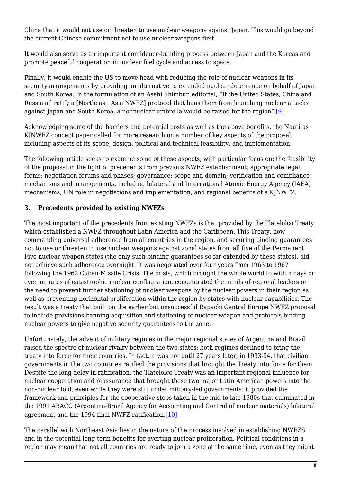China that it would not use or threaten to use nuclear weapons against Japan. This would go beyond the current Chinese commitment not to use nuclear weapons first.

It would also serve as an important confidence-building process between Japan and the Koreas and promote peaceful cooperation in nuclear fuel cycle and access to space.

Finally, it would enable the US to move head with reducing the role of nuclear weapons in its security arrangements by providing an alternative to extended nuclear deterrence on behalf of Japan and South Korea. In the formulation of an Asahi Shimbun editorial, "If the United States, China and Russia all ratify a [Northeast Asia NWFZ] protocol that bans them from launching nuclear attacks against Japan and South Korea, a nonnuclear umbrella would be raised for the region".[\[9\]](#page-16-9)

Acknowledging some of the barriers and potential costs as well as the above benefits, the Nautilus KJNWFZ concept paper called for more research on a number of key aspects of the proposal, including aspects of its scope, design, political and technical feasibility, and implementation.

The following article seeks to examine some of these aspects, with particular focus on: the feasibility of the proposal in the light of precedents from previous NWFZ establishment; appropriate legal forms; negotiation forums and phases; governance; scope and domain; verification and compliance mechanisms and arrangements, including bilateral and International Atomic Energy Agency (IAEA) mechanisms; UN role in negotiations and implementation; and regional benefits of a KJNWFZ.

# **3. Precedents provided by existing NWFZs**

The most important of the precedents from existing NWFZs is that provided by the Tlatelolco Treaty which established a NWFZ throughout Latin America and the Caribbean. This Treaty, now commanding universal adherence from all countries in the region, and securing binding guarantees not to use or threaten to use nuclear weapons against zonal states from all five of the Permanent Five nuclear weapon states (the only such binding guarantees so far extended by these states), did not achieve such adherence overnight. It was negotiated over four years from 1963 to 1967 following the 1962 Cuban Missile Crisis. The crisis, which brought the whole world to within days or even minutes of catastrophic nuclear conflagration, concentrated the minds of regional leaders on the need to prevent further stationing of nuclear weapons by the nuclear powers in their region as well as preventing horizontal proliferation within the region by states with nuclear capabilities. The result was a treaty that built on the earlier but unsuccessful Rapacki Central Europe NWFZ proposal to include provisions banning acquisition and stationing of nuclear weapon and protocols binding nuclear powers to give negative security guarantees to the zone.

Unfortunately, the advent of military regimes in the major regional states of Argentina and Brazil raised the spectre of nuclear rivalry between the two states: both regimes declined to bring the treaty into force for their countries. In fact, it was not until 27 years later, in 1993-94, that civilian governments in the two countries ratified the provisions that brought the Treaty into force for them. Despite the long delay in ratification, the Tlatelolco Treaty was an important regional influence for nuclear cooperation and reassurance that brought these two major Latin American powers into the non-nuclear fold, even while they were still under military-led governments: it provided the framework and principles for the cooperative steps taken in the mid to late 1980s that culminated in the 1991 ABACC (Argentina-Brazil Agency for Accounting and Control of nuclear materials) bilateral agreement and the 1994 final NWFZ ratification[.\[10\]](#page-16-10)

The parallel with Northeast Asia lies in the nature of the process involved in establishing NWFZS and in the potential long-term benefits for averting nuclear proliferation. Political conditions in a region may mean that not all countries are ready to join a zone at the same time, even as they might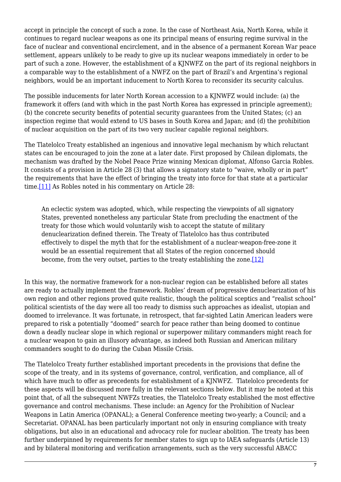accept in principle the concept of such a zone. In the case of Northeast Asia, North Korea, while it continues to regard nuclear weapons as one its principal means of ensuring regime survival in the face of nuclear and conventional encirclement, and in the absence of a permanent Korean War peace settlement, appears unlikely to be ready to give up its nuclear weapons immediately in order to be part of such a zone. However, the establishment of a KJNWFZ on the part of its regional neighbors in a comparable way to the establishment of a NWFZ on the part of Brazil's and Argentina's regional neighbors, would be an important inducement to North Korea to reconsider its security calculus.

The possible inducements for later North Korean accession to a KJNWFZ would include: (a) the framework it offers (and with which in the past North Korea has expressed in principle agreement); (b) the concrete security benefits of potential security guarantees from the United States; (c) an inspection regime that would extend to US bases in South Korea and Japan; and (d) the prohibition of nuclear acquisition on the part of its two very nuclear capable regional neighbors.

The Tlatelolco Treaty established an ingenious and innovative legal mechanism by which reluctant states can be encouraged to join the zone at a later date. First proposed by Chilean diplomats, the mechanism was drafted by the Nobel Peace Prize winning Mexican diplomat, Alfonso Garcia Robles. It consists of a provision in Article 28 (3) that allows a signatory state to "waive, wholly or in part" the requirements that have the effect of bringing the treaty into force for that state at a particular time.<sup>[11]</sup> As Robles noted in his commentary on Article 28:

An eclectic system was adopted, which, while respecting the viewpoints of all signatory States, prevented nonetheless any particular State from precluding the enactment of the treaty for those which would voluntarily wish to accept the statute of military denuclearization defined therein. The Treaty of Tlatelolco has thus contributed effectively to dispel the myth that for the establishment of a nuclear-weapon-free-zone it would be an essential requirement that all States of the region concerned should become, from the very outset, parties to the treaty establishing the zone.[\[12\]](#page-16-12)

In this way, the normative framework for a non-nuclear region can be established before all states are ready to actually implement the framework. Robles' dream of progressive denuclearization of his own region and other regions proved quite realistic, though the political sceptics and "realist school" political scientists of the day were all too ready to dismiss such approaches as idealist, utopian and doomed to irrelevance. It was fortunate, in retrospect, that far-sighted Latin American leaders were prepared to risk a potentially "doomed" search for peace rather than being doomed to continue down a deadly nuclear slope in which regional or superpower military commanders might reach for a nuclear weapon to gain an illusory advantage, as indeed both Russian and American military commanders sought to do during the Cuban Missile Crisis.

The Tlatelolco Treaty further established important precedents in the provisions that define the scope of the treaty, and in its systems of governance, control, verification, and compliance, all of which have much to offer as precedents for establishment of a KJNWFZ. Tlatelolco precedents for these aspects will be discussed more fully in the relevant sections below. But it may be noted at this point that, of all the subsequent NWFZs treaties, the Tlatelolco Treaty established the most effective governance and control mechanisms. These include: an Agency for the Prohibition of Nuclear Weapons in Latin America (OPANAL); a General Conference meeting two-yearly; a Council; and a Secretariat. OPANAL has been particularly important not only in ensuring compliance with treaty obligations, but also in an educational and advocacy role for nuclear abolition. The treaty has been further underpinned by requirements for member states to sign up to IAEA safeguards (Article 13) and by bilateral monitoring and verification arrangements, such as the very successful ABACC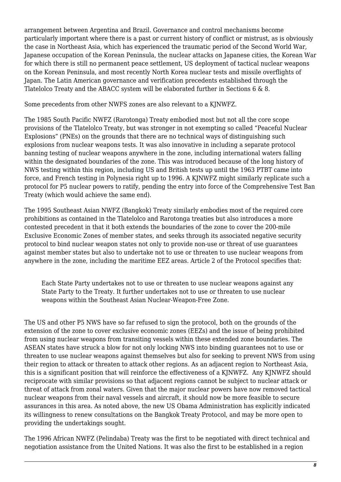arrangement between Argentina and Brazil. Governance and control mechanisms become particularly important where there is a past or current history of conflict or mistrust, as is obviously the case in Northeast Asia, which has experienced the traumatic period of the Second World War, Japanese occupation of the Korean Peninsula, the nuclear attacks on Japanese cities, the Korean War for which there is still no permanent peace settlement, US deployment of tactical nuclear weapons on the Korean Peninsula, and most recently North Korea nuclear tests and missile overflights of Japan. The Latin American governance and verification precedents established through the Tlatelolco Treaty and the ABACC system will be elaborated further in Sections 6 & 8.

Some precedents from other NWFS zones are also relevant to a KJNWFZ.

The 1985 South Pacific NWFZ (Rarotonga) Treaty embodied most but not all the core scope provisions of the Tlatelolco Treaty, but was stronger in not exempting so called "Peaceful Nuclear Explosions" (PNEs) on the grounds that there are no technical ways of distinguishing such explosions from nuclear weapons tests. It was also innovative in including a separate protocol banning testing of nuclear weapons anywhere in the zone, including international waters falling within the designated boundaries of the zone. This was introduced because of the long history of NWS testing within this region, including US and British tests up until the 1963 PTBT came into force, and French testing in Polynesia right up to 1996. A KJNWFZ might similarly replicate such a protocol for P5 nuclear powers to ratify, pending the entry into force of the Comprehensive Test Ban Treaty (which would achieve the same end).

The 1995 Southeast Asian NWFZ (Bangkok) Treaty similarly embodies most of the required core prohibitions as contained in the Tlatelolco and Rarotonga treaties but also introduces a more contested precedent in that it both extends the boundaries of the zone to cover the 200-mile Exclusive Economic Zones of member states, and seeks through its associated negative security protocol to bind nuclear weapon states not only to provide non-use or threat of use guarantees against member states but also to undertake not to use or threaten to use nuclear weapons from anywhere in the zone, including the maritime EEZ areas. Article 2 of the Protocol specifies that:

Each State Party undertakes not to use or threaten to use nuclear weapons against any State Party to the Treaty. It further undertakes not to use or threaten to use nuclear weapons within the Southeast Asian Nuclear-Weapon-Free Zone.

The US and other P5 NWS have so far refused to sign the protocol, both on the grounds of the extension of the zone to cover exclusive economic zones (EEZs) and the issue of being prohibited from using nuclear weapons from transiting vessels within these extended zone boundaries. The ASEAN states have struck a blow for not only locking NWS into binding guarantees not to use or threaten to use nuclear weapons against themselves but also for seeking to prevent NWS from using their region to attack or threaten to attack other regions. As an adjacent region to Northeast Asia, this is a significant position that will reinforce the effectiveness of a KJNWFZ. Any KJNWFZ should reciprocate with similar provisions so that adjacent regions cannot be subject to nuclear attack or threat of attack from zonal waters. Given that the major nuclear powers have now removed tactical nuclear weapons from their naval vessels and aircraft, it should now be more feasible to secure assurances in this area. As noted above, the new US Obama Administration has explicitly indicated its willingness to renew consultations on the Bangkok Treaty Protocol, and may be more open to providing the undertakings sought.

The 1996 African NWFZ (Pelindaba) Treaty was the first to be negotiated with direct technical and negotiation assistance from the United Nations. It was also the first to be established in a region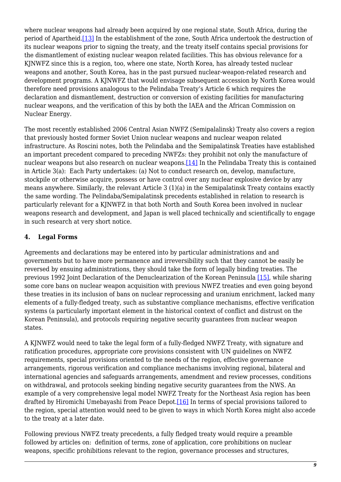where nuclear weapons had already been acquired by one regional state, South Africa, during the period of Apartheid.[\[13\]](#page-16-13) In the establishment of the zone, South Africa undertook the destruction of its nuclear weapons prior to signing the treaty, and the treaty itself contains special provisions for the dismantlement of existing nuclear weapon related facilities. This has obvious relevance for a KJNWFZ since this is a region, too, where one state, North Korea, has already tested nuclear weapons and another, South Korea, has in the past pursued nuclear-weapon-related research and development programs. A KJNWFZ that would envisage subsequent accession by North Korea would therefore need provisions analogous to the Pelindaba Treaty's Article 6 which requires the declaration and dismantlement, destruction or conversion of existing facilities for manufacturing nuclear weapons, and the verification of this by both the IAEA and the African Commission on Nuclear Energy.

The most recently established 2006 Central Asian NWFZ (Semipalalinsk) Treaty also covers a region that previously hosted former Soviet Union nuclear weapons and nuclear weapon related infrastructure. As Roscini notes, both the Pelindaba and the Semipalatinsk Treaties have established an important precedent compared to preceding NWFZs: they prohibit not only the manufacture of nuclear weapons but also research on nuclear weapons.[\[14\]](#page-17-1) In the Pelindaba Treaty this is contained in Article 3(a): Each Party undertakes: (a) Not to conduct research on, develop, manufacture, stockpile or otherwise acquire, possess or have control over any nuclear explosive device by any means anywhere. Similarly, the relevant Article 3 (1)(a) in the Semipalatinsk Treaty contains exactly the same wording. The Pelindaba/Semipalatinsk precedents established in relation to research is particularly relevant for a KJNWFZ in that both North and South Korea been involved in nuclear weapons research and development, and Japan is well placed technically and scientifically to engage in such research at very short notice.

#### **4. Legal Forms**

Agreements and declarations may be entered into by particular administrations and and governments but to have more permanence and irreversibility such that they cannot be easily be reversed by ensuing administrations, they should take the form of legally binding treaties. The previous 1992 Joint Declaration of the Denuclearization of the Korean Peninsula [\[15\],](#page-17-2) while sharing some core bans on nuclear weapon acquisition with previous NWFZ treaties and even going beyond these treaties in its inclusion of bans on nuclear reprocessing and uranium enrichment, lacked many elements of a fully-fledged treaty, such as substantive compliance mechanisms, effective verification systems (a particularly important element in the historical context of conflict and distrust on the Korean Peninsula), and protocols requiring negative security guarantees from nuclear weapon states.

A KJNWFZ would need to take the legal form of a fully-fledged NWFZ Treaty, with signature and ratification procedures, appropriate core provisions consistent with UN guidelines on NWFZ requirements, special provisions oriented to the needs of the region, effective governance arrangements, rigorous verification and compliance mechanisms involving regional, bilateral and international agencies and safeguards arrangements, amendment and review processes, conditions on withdrawal, and protocols seeking binding negative security guarantees from the NWS. An example of a very comprehensive legal model NWFZ Treaty for the Northeast Asia region has been drafted by Hiromichi Umebayashi from Peace Depot.[\[16\]](#page-17-3) In terms of special provisions tailored to the region, special attention would need to be given to ways in which North Korea might also accede to the treaty at a later date.

Following previous NWFZ treaty precedents, a fully fledged treaty would require a preamble followed by articles on: definition of terms, zone of application, core prohibitions on nuclear weapons, specific prohibitions relevant to the region, governance processes and structures,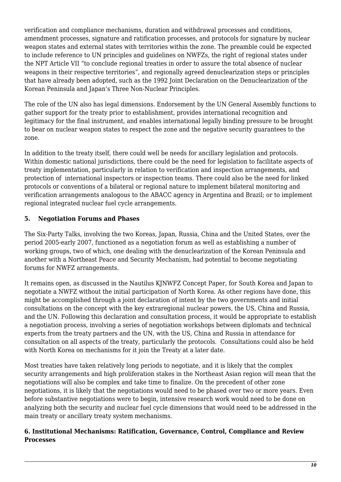verification and compliance mechanisms, duration and withdrawal processes and conditions, amendment processes, signature and ratification processes, and protocols for signature by nuclear weapon states and external states with territories within the zone. The preamble could be expected to include reference to UN principles and guidelines on NWFZs, the right of regional states under the NPT Article VII "to conclude regional treaties in order to assure the total absence of nuclear weapons in their respective territories", and regionally agreed denuclearization steps or principles that have already been adopted, such as the 1992 Joint Declaration on the Denuclearization of the Korean Peninsula and Japan's Three Non-Nuclear Principles.

The role of the UN also has legal dimensions. Endorsement by the UN General Assembly functions to gather support for the treaty prior to establishment, provides international recognition and legitimacy for the final instrument, and enables international legally binding pressure to be brought to bear on nuclear weapon states to respect the zone and the negative security guarantees to the zone.

In addition to the treaty itself, there could well be needs for ancillary legislation and protocols. Within domestic national jurisdictions, there could be the need for legislation to facilitate aspects of treaty implementation, particularly in relation to verification and inspection arrangements, and protection of international inspectors or inspection teams. There could also be the need for linked protocols or conventions of a bilateral or regional nature to implement bilateral monitoring and verification arrangements analogous to the ABACC agency in Argentina and Brazil; or to implement regional integrated nuclear fuel cycle arrangements.

# **5. Negotiation Forums and Phases**

The Six-Party Talks, involving the two Koreas, Japan, Russia, China and the United States, over the period 2005-early 2007, functioned as a negotiation forum as well as establishing a number of working groups, two of which, one dealing with the denuclearization of the Korean Peninsula and another with a Northeast Peace and Security Mechanism, had potential to become negotiating forums for NWFZ arrangements.

It remains open, as discussed in the Nautilus KJNWFZ Concept Paper, for South Korea and Japan to negotiate a NWFZ without the initial participation of North Korea. As other regions have done, this might be accomplished through a joint declaration of intent by the two governments and initial consultations on the concept with the key extraregional nuclear powers, the US, China and Russia, and the UN. Following this declaration and consultation process, it would be appropriate to establish a negotiation process, involving a series of negotiation workshops between diplomats and technical experts from the treaty partners and the UN, with the US, China and Russia in attendance for consultation on all aspects of the treaty, particularly the protocols. Consultations could also be held with North Korea on mechanisms for it join the Treaty at a later date.

Most treaties have taken relatively long periods to negotiate, and it is likely that the complex security arrangements and high proliferation stakes in the Northeast Asian region will mean that the negotiations will also be complex and take time to finalize. On the precedent of other zone negotiations, it is likely that the negotiations would need to be phased over two or more years. Even before substantive negotiations were to begin, intensive research work would need to be done on analyzing both the security and nuclear fuel cycle dimensions that would need to be addressed in the main treaty or ancillary treaty system mechanisms.

#### **6. Institutional Mechanisms: Ratification, Governance, Control, Compliance and Review Processes**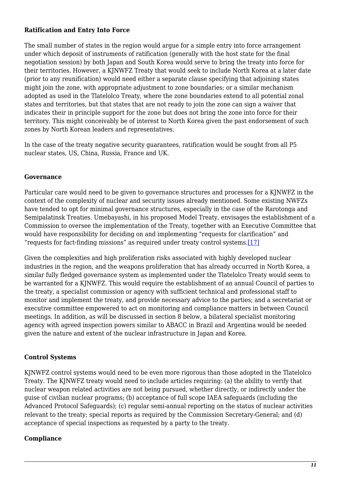#### **Ratification and Entry Into Force**

The small number of states in the region would argue for a simple entry into force arrangement under which deposit of instruments of ratification (generally with the host state for the final negotiation session) by both Japan and South Korea would serve to bring the treaty into force for their territories. However, a KJNWFZ Treaty that would seek to include North Korea at a later date (prior to any reunification) would need either a separate clause specifying that adjoining states might join the zone, with appropriate adjustment to zone boundaries; or a similar mechanism adopted as used in the Tlatelolco Treaty, where the zone boundaries extend to all potential zonal states and territories, but that states that are not ready to join the zone can sign a waiver that indicates their in principle support for the zone but does not bring the zone into force for their territory. This might conceivably be of interest to North Korea given the past endorsement of such zones by North Korean leaders and representatives.

In the case of the treaty negative security guarantees, ratification would be sought from all P5 nuclear states, US, China, Russia, France and UK.

#### **Governance**

Particular care would need to be given to governance structures and processes for a KJNWFZ in the context of the complexity of nuclear and security issues already mentioned. Some existing NWFZs have tended to opt for minimal governance structures, especially in the case of the Rarotonga and Semipalatinsk Treaties. Umebayashi, in his proposed Model Treaty, envisages the establishment of a Commission to oversee the implementation of the Treaty, together with an Executive Committee that would have responsibility for deciding on and implementing "requests for clarification" and "requests for fact-finding missions" as required under treaty control systems.[\[17\]](#page-17-4)

Given the complexities and high proliferation risks associated with highly developed nuclear industries in the region, and the weapons proliferation that has already occurred in North Korea, a similar fully fledged governance system as implemented under the Tlatelolco Treaty would seem to be warranted for a KJNWFZ. This would require the establishment of an annual Council of parties to the treaty, a specialist commission or agency with sufficient technical and professional staff to monitor and implement the treaty, and provide necessary advice to the parties; and a secretariat or executive committee empowered to act on monitoring and compliance matters in between Council meetings. In addition, as will be discussed in section 8 below, a bilateral specialist monitoring agency with agreed inspection powers similar to ABACC in Brazil and Argentina would be needed given the nature and extent of the nuclear infrastructure in Japan and Korea.

#### **Control Systems**

KJNWFZ control systems would need to be even more rigorous than those adopted in the Tlatelolco Treaty. The KJNWFZ treaty would need to include articles requiring: (a) the ability to verify that nuclear weapon related activities are not being pursued, whether directly, or indirectly under the guise of civilian nuclear programs; (b) acceptance of full scope IAEA safeguards (including the Advanced Protocol Safeguards); (c) regular semi-annual reporting on the status of nuclear activities relevant to the treaty; special reports as required by the Commission Secretary-General; and (d) acceptance of special inspections as requested by a party to the treaty.

#### **Compliance**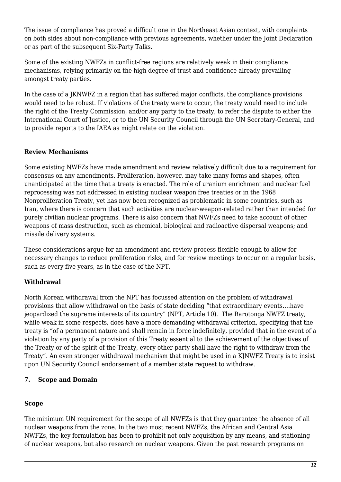The issue of compliance has proved a difficult one in the Northeast Asian context, with complaints on both sides about non-compliance with previous agreements, whether under the Joint Declaration or as part of the subsequent Six-Party Talks.

Some of the existing NWFZs in conflict-free regions are relatively weak in their compliance mechanisms, relying primarily on the high degree of trust and confidence already prevailing amongst treaty parties.

In the case of a JKNWFZ in a region that has suffered major conflicts, the compliance provisions would need to be robust. If violations of the treaty were to occur, the treaty would need to include the right of the Treaty Commission, and/or any party to the treaty, to refer the dispute to either the International Court of Justice, or to the UN Security Council through the UN Secretary-General, and to provide reports to the IAEA as might relate on the violation.

# **Review Mechanisms**

Some existing NWFZs have made amendment and review relatively difficult due to a requirement for consensus on any amendments. Proliferation, however, may take many forms and shapes, often unanticipated at the time that a treaty is enacted. The role of uranium enrichment and nuclear fuel reprocessing was not addressed in existing nuclear weapon free treaties or in the 1968 Nonproliferation Treaty, yet has now been recognized as problematic in some countries, such as Iran, where there is concern that such activities are nuclear-weapon-related rather than intended for purely civilian nuclear programs. There is also concern that NWFZs need to take account of other weapons of mass destruction, such as chemical, biological and radioactive dispersal weapons; and missile delivery systems.

These considerations argue for an amendment and review process flexible enough to allow for necessary changes to reduce proliferation risks, and for review meetings to occur on a regular basis, such as every five years, as in the case of the NPT.

# **Withdrawal**

North Korean withdrawal from the NPT has focussed attention on the problem of withdrawal provisions that allow withdrawal on the basis of state deciding "that extraordinary events….have jeopardized the supreme interests of its country" (NPT, Article 10). The Rarotonga NWFZ treaty, while weak in some respects, does have a more demanding withdrawal criterion, specifying that the treaty is "of a permanent nature and shall remain in force indefinitely, provided that in the event of a violation by any party of a provision of this Treaty essential to the achievement of the objectives of the Treaty or of the spirit of the Treaty, every other party shall have the right to withdraw from the Treaty". An even stronger withdrawal mechanism that might be used in a KJNWFZ Treaty is to insist upon UN Security Council endorsement of a member state request to withdraw.

#### **7. Scope and Domain**

#### **Scope**

The minimum UN requirement for the scope of all NWFZs is that they guarantee the absence of all nuclear weapons from the zone. In the two most recent NWFZs, the African and Central Asia NWFZs, the key formulation has been to prohibit not only acquisition by any means, and stationing of nuclear weapons, but also research on nuclear weapons. Given the past research programs on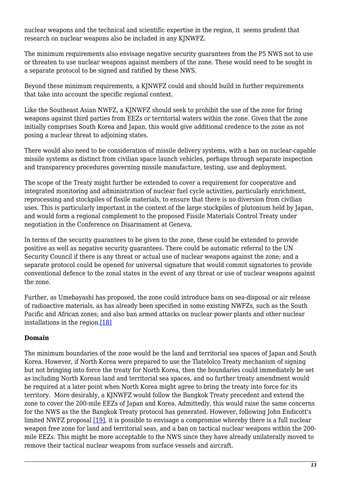nuclear weapons and the technical and scientific expertise in the region, it seems prudent that research on nuclear weapons also be included in any KJNWFZ.

The minimum requirements also envisage negative security guarantees from the P5 NWS not to use or threaten to use nuclear weapons against members of the zone. These would need to be sought in a separate protocol to be signed and ratified by these NWS.

Beyond these minimum requirements, a KJNWFZ could and should build in further requirements that take into account the specific regional context.

Like the Southeast Asian NWFZ, a KJNWFZ should seek to prohibit the use of the zone for firing weapons against third parties from EEZs or territorial waters within the zone. Given that the zone initially comprises South Korea and Japan, this would give additional credence to the zone as not posing a nuclear threat to adjoining states.

There would also need to be consideration of missile delivery systems, with a ban on nuclear-capable missile systems as distinct from civilian space launch vehicles, perhaps through separate inspection and transparency procedures governing missile manufacture, testing, use and deployment.

The scope of the Treaty might further be extended to cover a requirement for cooperative and integrated monitoring and administration of nuclear fuel cycle activities, particularly enrichment, reprocessing and stockpiles of fissile materials, to ensure that there is no diversion from civilian uses. This is particularly important in the context of the large stockpiles of plutonium held by Japan, and would form a regional complement to the proposed Fissile Materials Control Treaty under negotiation in the Conference on Disarmament at Geneva.

In terms of the security guarantees to be given to the zone, these could be extended to provide positive as well as negative security guarantees. There could be automatic referral to the UN Security Council if there is any threat or actual use of nuclear weapons against the zone; and a separate protocol could be opened for universal signature that would commit signatories to provide conventional defence to the zonal states in the event of any threat or use of nuclear weapons against the zone.

Further, as Umebayashi has proposed, the zone could introduce bans on sea-disposal or air release of radioactive materials, as has already been specified in some existing NWFZs, such as the South Pacific and African zones; and also ban armed attacks on nuclear power plants and other nuclear installations in the region.[\[18\]](#page-17-5)

# **Domain**

The minimum boundaries of the zone would be the land and territorial sea spaces of Japan and South Korea. However, if North Korea were prepared to use the Tlatelolco Treaty mechanism of signing but not bringing into force the treaty for North Korea, then the boundaries could immediately be set as including North Korean land and territorial sea spaces, and no further treaty amendment would be required at a later point when North Korea might agree to bring the treaty into force for its territory. More desirably, a KJNWFZ would follow the Bangkok Treaty precedent and extend the zone to cover the 200-mile EEZs of Japan and Korea. Admittedly, this would raise the same concerns for the NWS as the the Bangkok Treaty protocol has generated. However, following John Endicott's limited NWFZ proposal [\[19\]](#page-17-6), it is possible to envisage a compromise whereby there is a full nuclear weapon free zone for land and territorial seas, and a ban on tactical nuclear weapons within the 200 mile EEZs. This might be more acceptable to the NWS since they have already unilaterally moved to remove their tactical nuclear weapons from surface vessels and aircraft.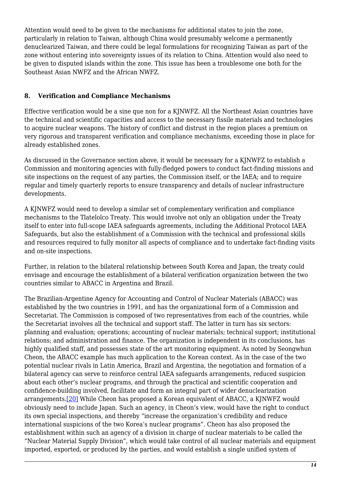Attention would need to be given to the mechanisms for additional states to join the zone, particularly in relation to Taiwan, although China would presumably welcome a permanently denuclearized Taiwan, and there could be legal formulations for recognizing Taiwan as part of the zone without entering into sovereignty issues of its relation to China. Attention would also need to be given to disputed islands within the zone. This issue has been a troublesome one both for the Southeast Asian NWFZ and the African NWFZ.

# **8. Verification and Compliance Mechanisms**

Effective verification would be a sine que non for a KJNWFZ. All the Northeast Asian countries have the technical and scientific capacities and access to the necessary fissile materials and technologies to acquire nuclear weapons. The history of conflict and distrust in the region places a premium on very rigorous and transparent verification and compliance mechanisms, exceeding those in place for already established zones.

As discussed in the Governance section above, it would be necessary for a KJNWFZ to establish a Commission and monitoring agencies with fully-fledged powers to conduct fact-finding missions and site inspections on the request of any parties, the Commission itself, or the IAEA; and to require regular and timely quarterly reports to ensure transparency and details of nuclear infrastructure developments.

A KJNWFZ would need to develop a similar set of complementary verification and compliance mechanisms to the Tlatelolco Treaty. This would involve not only an obligation under the Treaty itself to enter into full-scope IAEA safeguards agreements, including the Additional Protocol IAEA Safeguards, but also the establishment of a Commission with the technical and professional skills and resources required to fully monitor all aspects of compliance and to undertake fact-finding visits and on-site inspections.

Further, in relation to the bilateral relationship between South Korea and Japan, the treaty could envisage and encourage the establishment of a bilateral verification organization between the two countries similar to ABACC in Argentina and Brazil.

The Brazilian-Argentine Agency for Accounting and Control of Nuclear Materials (ABACC) was established by the two countries in 1991, and has the organizational form of a Commission and Secretariat. The Commission is composed of two representatives from each of the countries, while the Secretariat involves all the technical and support staff. The latter in turn has six sectors: planning and evaluation; operations; accounting of nuclear materials; technical support; institutional relations; and administration and finance. The organization is independent in its conclusions, has highly qualified staff, and possesses state of the art monitoring equipment. As noted by Seongwhun Cheon, the ABACC example has much application to the Korean context. As in the case of the two potential nuclear rivals in Latin America, Brazil and Argentina, the negotiation and formation of a bilateral agency can serve to reinforce central IAEA safeguards arrangements, reduced suspicion about each other's nuclear programs, and through the practical and scientific cooperation and confidence-building involved, facilitate and form an integral part of wider denuclearization arrangements[.\[20\]](#page-17-7) While Cheon has proposed a Korean equivalent of ABACC, a KJNWFZ would obviously need to include Japan. Such an agency, in Cheon's view, would have the right to conduct its own special inspections, and thereby "increase the organization's credibility and reduce international suspicions of the two Korea's nuclear programs". Cheon has also proposed the establishment within such an agency of a division in charge of nuclear materials to be called the "Nuclear Material Supply Division", which would take control of all nuclear materials and equipment imported, exported, or produced by the parties, and would establish a single unified system of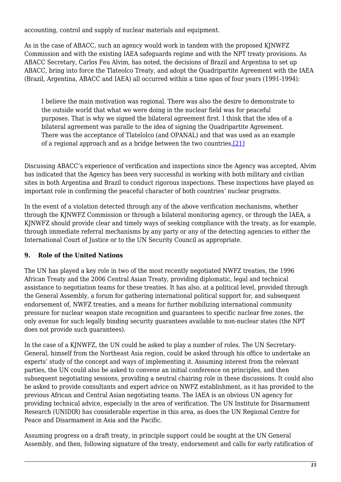accounting, control and supply of nuclear materials and equipment.

As in the case of ABACC, such an agency would work in tandem with the proposed KJNWFZ Commission and with the existing IAEA safeguards regime and with the NPT treaty provisions. As ABACC Secretary, Carlos Feu Alvim, has noted, the decisions of Brazil and Argentina to set up ABACC, bring into force the Tlateolco Treaty, and adopt the Quadripartite Agreement with the IAEA (Brazil, Argentina, ABACC and IAEA) all occurred within a time span of four years (1991-1994):

I believe the main motivation was regional. There was also the desire to demonstrate to the outside world that what we were doing in the nuclear field was for peaceful purposes. That is why we signed the bilateral agreement first. I think that the idea of a bilateral agreement was paralle to the idea of signing the Quadripartite Agreement. There was the acceptance of Tlatelolco (and OPANAL) and that was used as an example of a regional approach and as a bridge between the two countries[.\[21\]](#page-17-8)

Discussing ABACC's experience of verification and inspections since the Agency was accepted, Alvim has indicated that the Agency has been very successful in working with both military and civilian sites in both Argentina and Brazil to conduct rigorous inspections. These inspections have played an important role in confirming the peaceful character of both countries' nuclear programs.

In the event of a violation detected through any of the above verification mechanisms, whether through the KJNWFZ Commission or through a bilateral monitoring agency, or through the IAEA, a KJNWFZ should provide clear and timely ways of seeking compliance with the treaty, as for example, through immediate referral mechanisms by any party or any of the detecting agencies to either the International Court of Justice or to the UN Security Council as appropriate.

# **9. Role of the United Nations**

The UN has played a key role in two of the most recently negotiated NWFZ treaties, the 1996 African Treaty and the 2006 Central Asian Treaty, providing diplomatic, legal and technical assistance to negotiation teams for these treaties. It has also, at a political level, provided through the General Assembly, a forum for gathering international political support for, and subsequent endorsement of, NWFZ treaties, and a means for further mobilizing international community pressure for nuclear weapon state recognition and guarantees to specific nuclear free zones, the only avenue for such legally binding security guarantees available to non-nuclear states (the NPT does not provide such guarantees).

In the case of a KJNWFZ, the UN could be asked to play a number of roles. The UN Secretary-General, himself from the Northeast Asia region, could be asked through his office to undertake an experts' study of the concept and ways of implementing it. Assuming interest from the relevant parties, the UN could also be asked to convene an initial conference on principles, and then subsequent negotiating sessions, providing a neutral chairing role in these discussions. It could also be asked to provide consultants and expert advice on NWFZ establishment, as it has provided to the previous African and Central Asian negotiating teams. The IAEA is an obvious UN agency for providing technical advice, especially in the area of verification. The UN Institute for Disarmament Research (UNIDIR) has considerable expertise in this area, as does the UN Regional Centre for Peace and Disarmament in Asia and the Pacific.

Assuming progress on a draft treaty, in principle support could be sought at the UN General Assembly, and then, following signature of the treaty, endorsement and calls for early ratification of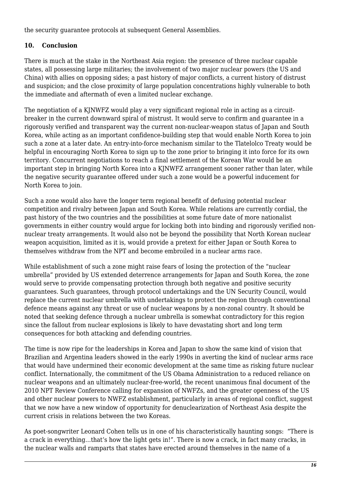the security guarantee protocols at subsequent General Assemblies.

# **10. Conclusion**

There is much at the stake in the Northeast Asia region: the presence of three nuclear capable states, all possessing large militaries; the involvement of two major nuclear powers (the US and China) with allies on opposing sides; a past history of major conflicts, a current history of distrust and suspicion; and the close proximity of large population concentrations highly vulnerable to both the immediate and aftermath of even a limited nuclear exchange.

The negotiation of a KJNWFZ would play a very significant regional role in acting as a circuitbreaker in the current downward spiral of mistrust. It would serve to confirm and guarantee in a rigorously verified and transparent way the current non-nuclear-weapon status of Japan and South Korea, while acting as an important confidence-building step that would enable North Korea to join such a zone at a later date. An entry-into-force mechanism similar to the Tlatelolco Treaty would be helpful in encouraging North Korea to sign up to the zone prior to bringing it into force for its own territory. Concurrent negotiations to reach a final settlement of the Korean War would be an important step in bringing North Korea into a KJNWFZ arrangement sooner rather than later, while the negative security guarantee offered under such a zone would be a powerful inducement for North Korea to join.

Such a zone would also have the longer term regional benefit of defusing potential nuclear competition and rivalry between Japan and South Korea. While relations are currently cordial, the past history of the two countries and the possibilities at some future date of more nationalist governments in either country would argue for locking both into binding and rigorously verified nonnuclear treaty arrangements. It would also not be beyond the possibility that North Korean nuclear weapon acquisition, limited as it is, would provide a pretext for either Japan or South Korea to themselves withdraw from the NPT and become embroiled in a nuclear arms race.

While establishment of such a zone might raise fears of losing the protection of the "nuclear umbrella" provided by US extended deterrence arrangements for Japan and South Korea, the zone would serve to provide compensating protection through both negative and positive security guarantees. Such guarantees, through protocol undertakings and the UN Security Council, would replace the current nuclear umbrella with undertakings to protect the region through conventional defence means against any threat or use of nuclear weapons by a non-zonal country. It should be noted that seeking defence through a nuclear umbrella is somewhat contradictory for this region since the fallout from nuclear explosions is likely to have devastating short and long term consequences for both attacking and defending countries.

The time is now ripe for the leaderships in Korea and Japan to show the same kind of vision that Brazilian and Argentina leaders showed in the early 1990s in averting the kind of nuclear arms race that would have undermined their economic development at the same time as risking future nuclear conflict. Internationally, the commitment of the US Obama Administration to a reduced reliance on nuclear weapons and an ultimately nuclear-free-world, the recent unanimous final document of the 2010 NPT Review Conference calling for expansion of NWFZs, and the greater openness of the US and other nuclear powers to NWFZ establishment, particularly in areas of regional conflict, suggest that we now have a new window of opportunity for denuclearization of Northeast Asia despite the current crisis in relations between the two Koreas.

As poet-songwriter Leonard Cohen tells us in one of his characteristically haunting songs: "There is a crack in everything…that's how the light gets in!". There is now a crack, in fact many cracks, in the nuclear walls and ramparts that states have erected around themselves in the name of a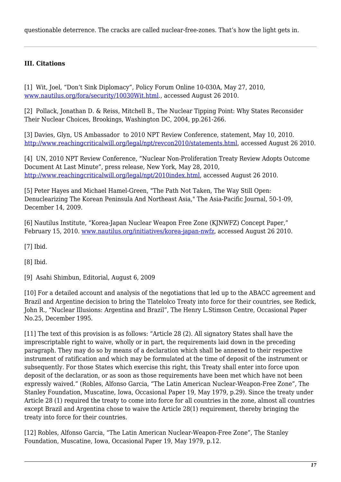questionable deterrence. The cracks are called nuclear-free-zones. That's how the light gets in.

# <span id="page-16-0"></span>**III. Citations**

<span id="page-16-1"></span>[1] Wit, Joel, "Don't Sink Diplomacy", Policy Forum Online 10-030A, May 27, 2010, [www.nautilus.org/fora/security/10030Wit.html](http://nautilus.org/fora/security/10030Wit.html)., accessed August 26 2010.

<span id="page-16-2"></span>[2] Pollack, Jonathan D. & Reiss, Mitchell B., The Nuclear Tipping Point: Why States Reconsider Their Nuclear Choices, Brookings, Washington DC, 2004, pp.261-266.

<span id="page-16-3"></span>[3] Davies, Glyn, US Ambassador to 2010 NPT Review Conference, statement, May 10, 2010. <http://www.reachingcriticalwill.org/legal/npt/revcon2010/statements.html>, accessed August 26 2010.

<span id="page-16-4"></span>[4] UN, 2010 NPT Review Conference, "Nuclear Non-Proliferation Treaty Review Adopts Outcome Document At Last Minute", press release, New York, May 28, 2010, [http://www.reachingcriticalwill.org/legal/npt/2010index.html,](http://www.reachingcriticalwill.org/legal/npt/2010index.html) accessed August 26 2010.

<span id="page-16-5"></span>[5] Peter Hayes and Michael Hamel-Green, "The Path Not Taken, The Way Still Open: Denuclearizing The Korean Peninsula And Northeast Asia," The Asia-Pacific Journal, 50-1-09, December 14, 2009.

<span id="page-16-6"></span>[6] Nautilus Institute, "Korea-Japan Nuclear Weapon Free Zone (KJNWFZ) Concept Paper," February 15, 2010. [www.nautilus.org/initiatives/korea-japan-nwfz](https://nautilus.org/initiatives/korea-japan-nwfz), accessed August 26 2010.

<span id="page-16-7"></span>[7] Ibid.

<span id="page-16-8"></span>[8] Ibid.

<span id="page-16-9"></span>[9] Asahi Shimbun, Editorial, August 6, 2009

<span id="page-16-10"></span>[10] For a detailed account and analysis of the negotiations that led up to the ABACC agreement and Brazil and Argentine decision to bring the Tlatelolco Treaty into force for their countries, see Redick, John R., "Nuclear Illusions: Argentina and Brazil", The Henry L.Stimson Centre, Occasional Paper No.25, December 1995.

<span id="page-16-11"></span>[11] The text of this provision is as follows: "Article 28 (2). All signatory States shall have the imprescriptable right to waive, wholly or in part, the requirements laid down in the preceding paragraph. They may do so by means of a declaration which shall be annexed to their respective instrument of ratification and which may be formulated at the time of deposit of the instrument or subsequently. For those States which exercise this right, this Treaty shall enter into force upon deposit of the declaration, or as soon as those requirements have been met which have not been expressly waived." (Robles, Alfonso Garcia, "The Latin American Nuclear-Weapon-Free Zone", The Stanley Foundation, Muscatine, Iowa, Occasional Paper 19, May 1979, p.29). Since the treaty under Article 28 (1) required the treaty to come into force for all countries in the zone, almost all countries except Brazil and Argentina chose to waive the Article 28(1) requirement, thereby bringing the treaty into force for their countries.

<span id="page-16-13"></span><span id="page-16-12"></span>[12] Robles, Alfonso Garcia, "The Latin American Nuclear-Weapon-Free Zone", The Stanley Foundation, Muscatine, Iowa, Occasional Paper 19, May 1979, p.12.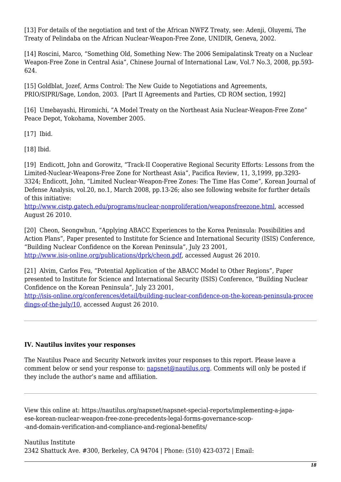[13] For details of the negotiation and text of the African NWFZ Treaty, see: Adenji, Oluyemi, The Treaty of Pelindaba on the African Nuclear-Weapon-Free Zone, UNIDIR, Geneva, 2002.

<span id="page-17-1"></span>[14] Roscini, Marco, "Something Old, Something New: The 2006 Semipalatinsk Treaty on a Nuclear Weapon-Free Zone in Central Asia", Chinese Journal of International Law, Vol.7 No.3, 2008, pp.593- 624.

<span id="page-17-2"></span>[15] Goldblat, Jozef, Arms Control: The New Guide to Negotiations and Agreements, PRIO/SIPRI/Sage, London, 2003. [Part II Agreements and Parties, CD ROM section, 1992]

<span id="page-17-3"></span>[16] Umebayashi, Hiromichi, "A Model Treaty on the Northeast Asia Nuclear-Weapon-Free Zone" Peace Depot, Yokohama, November 2005.

<span id="page-17-4"></span>[17] Ibid.

<span id="page-17-5"></span>[18] Ibid.

<span id="page-17-6"></span>[19] Endicott, John and Gorowitz, "Track-II Cooperative Regional Security Efforts: Lessons from the Limited-Nuclear-Weapons-Free Zone for Northeast Asia", Pacifica Review, 11, 3,1999, pp.3293- 3324; Endicott, John, "Limited Nuclear-Weapon-Free Zones: The Time Has Come", Korean Journal of Defense Analysis, vol.20, no.1, March 2008, pp.13-26; also see following website for further details of this initiative:

[http://www.cistp.gatech.edu/programs/nuclear-nonproliferation/weaponsfreezone.html,](http://www.cistp.gatech.edu/programs/nuclear-nonproliferation/weaponsfreezone.html) accessed August 26 2010.

<span id="page-17-7"></span>[20] Cheon, Seongwhun, "Applying ABACC Experiences to the Korea Peninsula: Possibilities and Action Plans", Paper presented to Institute for Science and International Security (ISIS) Conference, "Building Nuclear Confidence on the Korean Peninsula", July 23 2001, <http://www.isis-online.org/publications/dprk/cheon.pdf>, accessed August 26 2010.

<span id="page-17-8"></span>[21] Alvim, Carlos Feu, "Potential Application of the ABACC Model to Other Regions", Paper presented to Institute for Science and International Security (ISIS) Conference, "Building Nuclear Confidence on the Korean Peninsula", July 23 2001,

[http://isis-online.org/conferences/detail/building-nuclear-confidence-on-the-korean-peninsula-procee](http://isis-online.org/conferences/detail/building-nuclear-confidence-on-the-korean-peninsula-proceedings-of-the-july/10) [dings-of-the-july/10,](http://isis-online.org/conferences/detail/building-nuclear-confidence-on-the-korean-peninsula-proceedings-of-the-july/10) accessed August 26 2010.

#### <span id="page-17-0"></span>**IV. Nautilus invites your responses**

The Nautilus Peace and Security Network invites your responses to this report. Please leave a comment below or send your response to: [napsnet@nautilus.org.](mailto:napsnet@nautilus.org) Comments will only be posted if they include the author's name and affiliation.

View this online at: https://nautilus.org/napsnet/napsnet-special-reports/implementing-a-japaese-korean-nuclear-weapon-free-zone-precedents-legal-forms-governance-scop- -and-domain-verification-and-compliance-and-regional-benefits/

Nautilus Institute 2342 Shattuck Ave. #300, Berkeley, CA 94704 | Phone: (510) 423-0372 | Email: